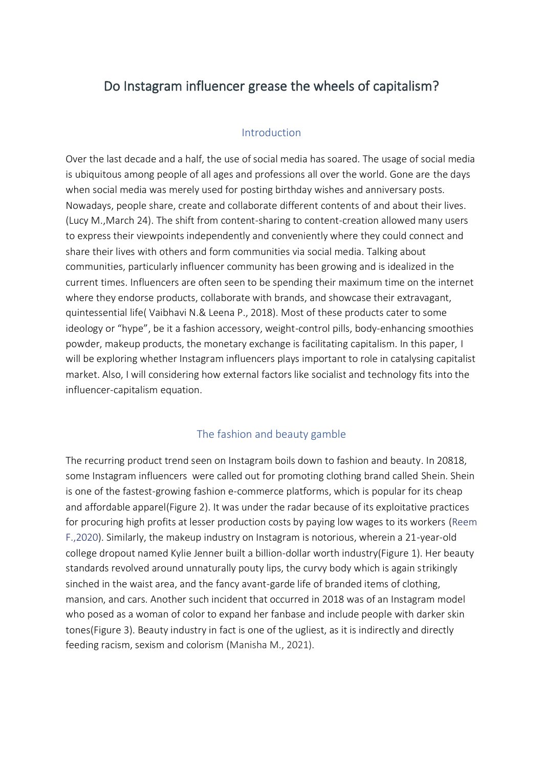# Do Instagram influencer grease the wheels of capitalism?

## Introduction

Over the last decade and a half, the use of social media has soared. The usage of social media is ubiquitous among people of all ages and professions all over the world. Gone are the days when social media was merely used for posting birthday wishes and anniversary posts. Nowadays, people share, create and collaborate different contents of and about their lives. (Lucy M.,March 24). The shift from content-sharing to content-creation allowed many users to express their viewpoints independently and conveniently where they could connect and share their lives with others and form communities via social media. Talking about communities, particularly influencer community has been growing and is idealized in the current times. Influencers are often seen to be spending their maximum time on the internet where they endorse products, collaborate with brands, and showcase their extravagant, quintessential life( Vaibhavi N.& Leena P., 2018). Most of these products cater to some ideology or "hype", be it a fashion accessory, weight-control pills, body-enhancing smoothies powder, makeup products, the monetary exchange is facilitating capitalism. In this paper, I will be exploring whether Instagram influencers plays important to role in catalysing capitalist market. Also, I will considering how external factors like socialist and technology fits into the influencer-capitalism equation.

## The fashion and beauty gamble

The recurring product trend seen on Instagram boils down to fashion and beauty. In 20818, some Instagram influencers were called out for promoting clothing brand called Shein. Shein is one of the fastest-growing fashion e-commerce platforms, which is popular for its cheap and affordable apparel(Figure 2). It was under the radar because of its exploitative practices for procuring high profits at lesser production costs by paying low wages to its workers (Reem F.,2020). Similarly, the makeup industry on Instagram is notorious, wherein a 21-year-old college dropout named Kylie Jenner built a billion-dollar worth industry(Figure 1). Her beauty standards revolved around unnaturally pouty lips, the curvy body which is again strikingly sinched in the waist area, and the fancy avant-garde life of branded items of clothing, mansion, and cars. Another such incident that occurred in 2018 was of an Instagram model who posed as a woman of color to expand her fanbase and include people with darker skin tones(Figure 3). Beauty industry in fact is one of the ugliest, as it is indirectly and directly feeding racism, sexism and colorism (Manisha M., 2021).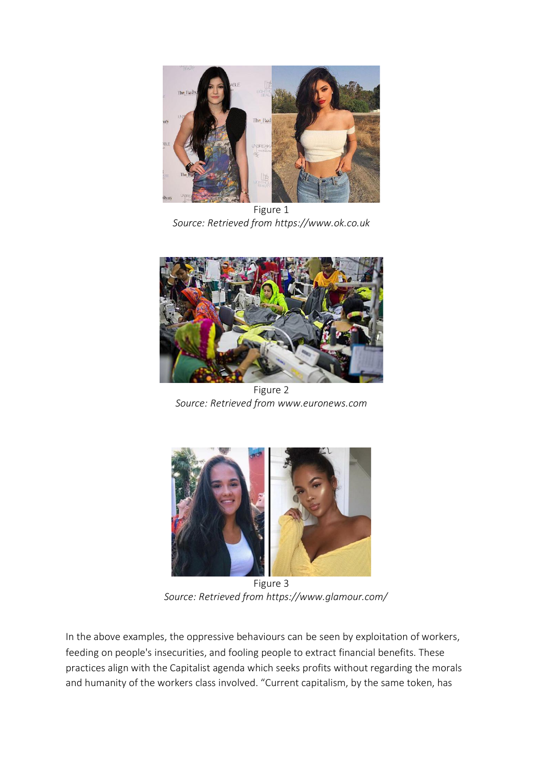

Figure 1 *Source: Retrieved from https://www.ok.co.uk*



Figure 2 *Source: Retrieved from www.euronews.com*



Figure 3 *Source: Retrieved from https://www.glamour.com/*

In the above examples, the oppressive behaviours can be seen by exploitation of workers, feeding on people's insecurities, and fooling people to extract financial benefits. These practices align with the Capitalist agenda which seeks profits without regarding the morals and humanity of the workers class involved. "Current capitalism, by the same token, has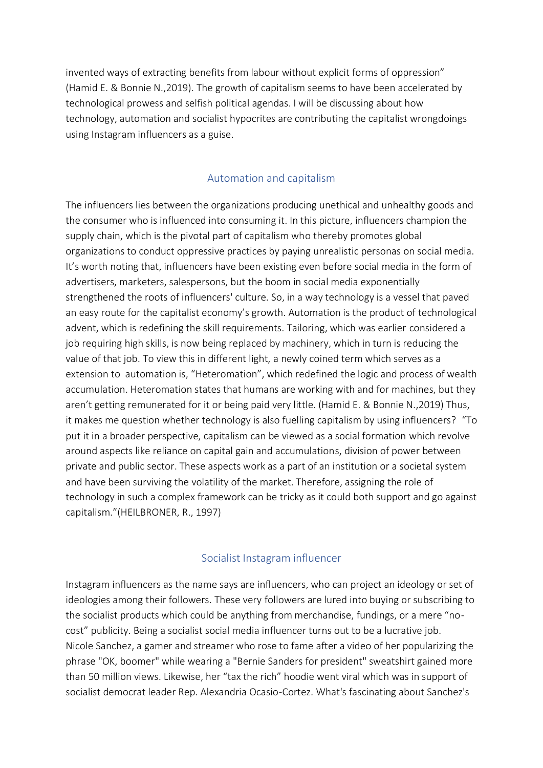invented ways of extracting benefits from labour without explicit forms of oppression" (Hamid E. & Bonnie N.,2019). The growth of capitalism seems to have been accelerated by technological prowess and selfish political agendas. I will be discussing about how technology, automation and socialist hypocrites are contributing the capitalist wrongdoings using Instagram influencers as a guise.

#### Automation and capitalism

The influencers lies between the organizations producing unethical and unhealthy goods and the consumer who is influenced into consuming it. In this picture, influencers champion the supply chain, which is the pivotal part of capitalism who thereby promotes global organizations to conduct oppressive practices by paying unrealistic personas on social media. It's worth noting that, influencers have been existing even before social media in the form of advertisers, marketers, salespersons, but the boom in social media exponentially strengthened the roots of influencers' culture. So, in a way technology is a vessel that paved an easy route for the capitalist economy's growth. Automation is the product of technological advent, which is redefining the skill requirements. Tailoring, which was earlier considered a job requiring high skills, is now being replaced by machinery, which in turn is reducing the value of that job. To view this in different light, a newly coined term which serves as a extension to automation is, "Heteromation", which redefined the logic and process of wealth accumulation. Heteromation states that humans are working with and for machines, but they aren't getting remunerated for it or being paid very little. (Hamid E. & Bonnie N.,2019) Thus, it makes me question whether technology is also fuelling capitalism by using influencers? "To put it in a broader perspective, capitalism can be viewed as a social formation which revolve around aspects like reliance on capital gain and accumulations, division of power between private and public sector. These aspects work as a part of an institution or a societal system and have been surviving the volatility of the market. Therefore, assigning the role of technology in such a complex framework can be tricky as it could both support and go against capitalism."(HEILBRONER, R., 1997)

## Socialist Instagram influencer

Instagram influencers as the name says are influencers, who can project an ideology or set of ideologies among their followers. These very followers are lured into buying or subscribing to the socialist products which could be anything from merchandise, fundings, or a mere "nocost" publicity. Being a socialist social media influencer turns out to be a lucrative job. Nicole Sanchez, a gamer and streamer who rose to fame after a video of her popularizing the phrase "OK, boomer" while wearing a "Bernie Sanders for president" sweatshirt gained more than 50 million views. Likewise, her "tax the rich" hoodie went viral which was in support of socialist democrat leader Rep. Alexandria Ocasio-Cortez. What's fascinating about Sanchez's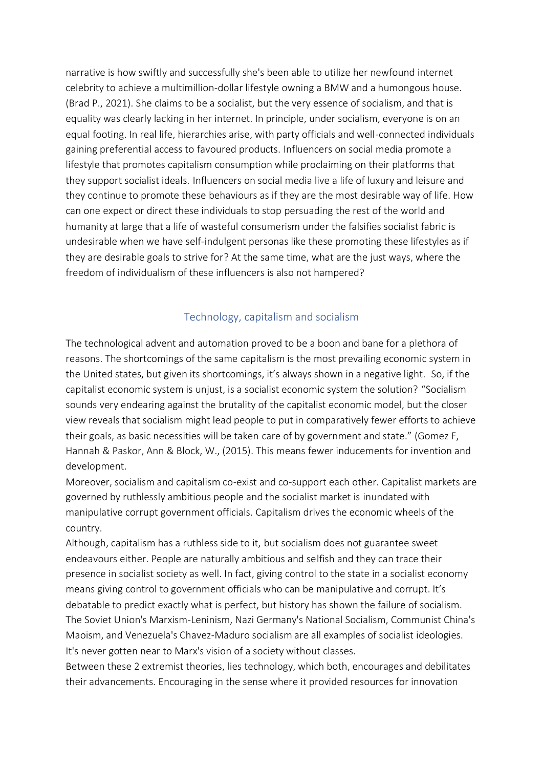narrative is how swiftly and successfully she's been able to utilize her newfound internet celebrity to achieve a multimillion-dollar lifestyle owning a BMW and a humongous house. (Brad P., 2021). She claims to be a socialist, but the very essence of socialism, and that is equality was clearly lacking in her internet. In principle, under socialism, everyone is on an equal footing. In real life, hierarchies arise, with party officials and well-connected individuals gaining preferential access to favoured products. Influencers on social media promote a lifestyle that promotes capitalism consumption while proclaiming on their platforms that they support socialist ideals. Influencers on social media live a life of luxury and leisure and they continue to promote these behaviours as if they are the most desirable way of life. How can one expect or direct these individuals to stop persuading the rest of the world and humanity at large that a life of wasteful consumerism under the falsifies socialist fabric is undesirable when we have self-indulgent personas like these promoting these lifestyles as if they are desirable goals to strive for? At the same time, what are the just ways, where the freedom of individualism of these influencers is also not hampered?

## Technology, capitalism and socialism

The technological advent and automation proved to be a boon and bane for a plethora of reasons. The shortcomings of the same capitalism is the most prevailing economic system in the United states, but given its shortcomings, it's always shown in a negative light. So, if the capitalist economic system is unjust, is a socialist economic system the solution? "Socialism sounds very endearing against the brutality of the capitalist economic model, but the closer view reveals that socialism might lead people to put in comparatively fewer efforts to achieve their goals, as basic necessities will be taken care of by government and state." (Gomez F, Hannah & Paskor, Ann & Block, W., (2015). This means fewer inducements for invention and development.

Moreover, socialism and capitalism co-exist and co-support each other. Capitalist markets are governed by ruthlessly ambitious people and the socialist market is inundated with manipulative corrupt government officials. Capitalism drives the economic wheels of the country.

Although, capitalism has a ruthless side to it, but socialism does not guarantee sweet endeavours either. People are naturally ambitious and selfish and they can trace their presence in socialist society as well. In fact, giving control to the state in a socialist economy means giving control to government officials who can be manipulative and corrupt. It's debatable to predict exactly what is perfect, but history has shown the failure of socialism. The Soviet Union's Marxism-Leninism, Nazi Germany's National Socialism, Communist China's Maoism, and Venezuela's Chavez-Maduro socialism are all examples of socialist ideologies. It's never gotten near to Marx's vision of a society without classes.

Between these 2 extremist theories, lies technology, which both, encourages and debilitates their advancements. Encouraging in the sense where it provided resources for innovation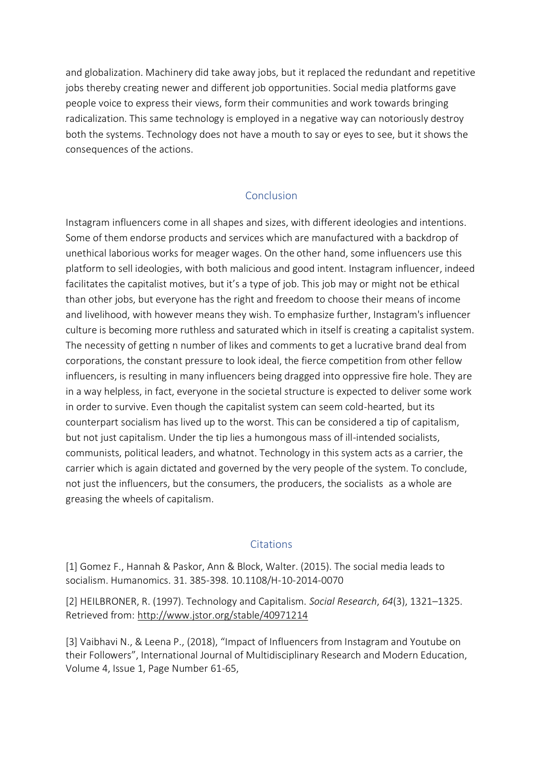and globalization. Machinery did take away jobs, but it replaced the redundant and repetitive jobs thereby creating newer and different job opportunities. Social media platforms gave people voice to express their views, form their communities and work towards bringing radicalization. This same technology is employed in a negative way can notoriously destroy both the systems. Technology does not have a mouth to say or eyes to see, but it shows the consequences of the actions.

#### Conclusion

Instagram influencers come in all shapes and sizes, with different ideologies and intentions. Some of them endorse products and services which are manufactured with a backdrop of unethical laborious works for meager wages. On the other hand, some influencers use this platform to sell ideologies, with both malicious and good intent. Instagram influencer, indeed facilitates the capitalist motives, but it's a type of job. This job may or might not be ethical than other jobs, but everyone has the right and freedom to choose their means of income and livelihood, with however means they wish. To emphasize further, Instagram's influencer culture is becoming more ruthless and saturated which in itself is creating a capitalist system. The necessity of getting n number of likes and comments to get a lucrative brand deal from corporations, the constant pressure to look ideal, the fierce competition from other fellow influencers, is resulting in many influencers being dragged into oppressive fire hole. They are in a way helpless, in fact, everyone in the societal structure is expected to deliver some work in order to survive. Even though the capitalist system can seem cold-hearted, but its counterpart socialism has lived up to the worst. This can be considered a tip of capitalism, but not just capitalism. Under the tip lies a humongous mass of ill-intended socialists, communists, political leaders, and whatnot. Technology in this system acts as a carrier, the carrier which is again dictated and governed by the very people of the system. To conclude, not just the influencers, but the consumers, the producers, the socialists as a whole are greasing the wheels of capitalism.

#### **Citations**

[1] Gomez F., Hannah & Paskor, Ann & Block, Walter. (2015). The social media leads to socialism. Humanomics. 31. 385-398. 10.1108/H-10-2014-0070

[2] HEILBRONER, R. (1997). Technology and Capitalism. *Social Research*, *64*(3), 1321–1325. Retrieved from:<http://www.jstor.org/stable/40971214>

[3] Vaibhavi N., & Leena P., (2018), "Impact of Influencers from Instagram and Youtube on their Followers", International Journal of Multidisciplinary Research and Modern Education, Volume 4, Issue 1, Page Number 61-65,